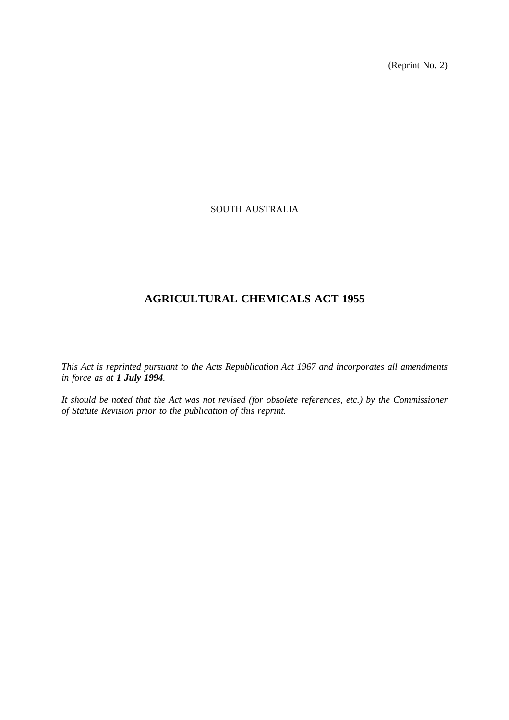(Reprint No. 2)

# SOUTH AUSTRALIA

# **AGRICULTURAL CHEMICALS ACT 1955**

*This Act is reprinted pursuant to the Acts Republication Act 1967 and incorporates all amendments in force as at 1 July 1994.*

*It should be noted that the Act was not revised (for obsolete references, etc.) by the Commissioner of Statute Revision prior to the publication of this reprint.*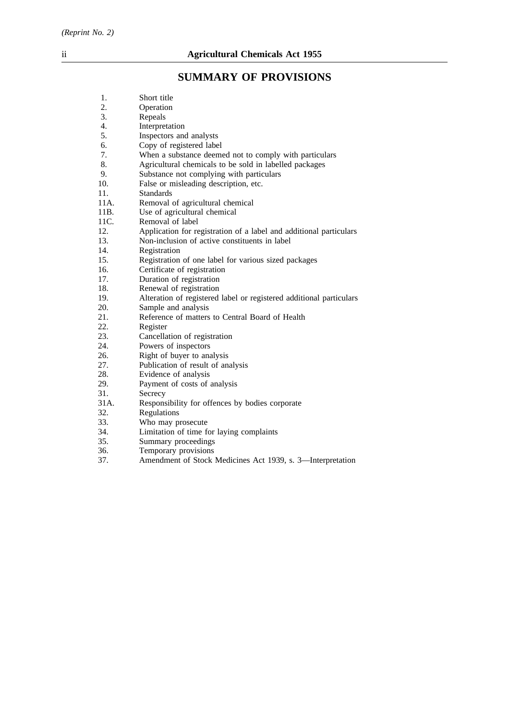# **SUMMARY OF PROVISIONS**

| 1.               | Short title                                                         |
|------------------|---------------------------------------------------------------------|
| 2.               | Operation                                                           |
| 3.               | Repeals                                                             |
| $\overline{4}$ . | Interpretation                                                      |
| 5.               | Inspectors and analysts                                             |
| 6.               | Copy of registered label                                            |
| 7.               | When a substance deemed not to comply with particulars              |
| 8.               | Agricultural chemicals to be sold in labelled packages              |
| 9.               | Substance not complying with particulars                            |
| 10.              | False or misleading description, etc.                               |
| 11.              | <b>Standards</b>                                                    |
| 11A.             | Removal of agricultural chemical                                    |
| 11B.             | Use of agricultural chemical                                        |
| 11C.             | Removal of label                                                    |
| 12.              | Application for registration of a label and additional particulars  |
| 13.              | Non-inclusion of active constituents in label                       |
| 14.              | Registration                                                        |
| 15.              | Registration of one label for various sized packages                |
| 16.              | Certificate of registration                                         |
| 17.              | Duration of registration                                            |
| 18.              | Renewal of registration                                             |
| 19.              | Alteration of registered label or registered additional particulars |
| 20.              | Sample and analysis                                                 |
| 21.              | Reference of matters to Central Board of Health                     |
| 22.              | Register                                                            |
| 23.              | Cancellation of registration                                        |
| 24.              | Powers of inspectors                                                |
| 26.              | Right of buyer to analysis                                          |
| 27.              | Publication of result of analysis                                   |
| 28.              | Evidence of analysis                                                |
| 29.              | Payment of costs of analysis                                        |
| 31.              | Secrecy                                                             |
| 31A.             | Responsibility for offences by bodies corporate                     |
| 32.              | Regulations                                                         |
| 33.              | Who may prosecute                                                   |
| 34.              | Limitation of time for laying complaints                            |
| 35.              | Summary proceedings                                                 |
| 36.              | Temporary provisions                                                |
| 37.              | Amendment of Stock Medicines Act 1939, s. 3-Interpretation          |
|                  |                                                                     |
|                  |                                                                     |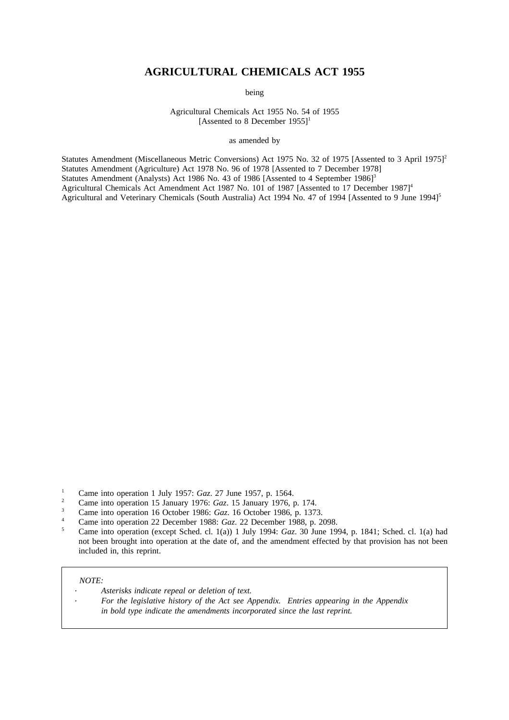# **AGRICULTURAL CHEMICALS ACT 1955**

being

Agricultural Chemicals Act 1955 No. 54 of 1955 [Assented to 8 December  $1955$ ]<sup>1</sup>

as amended by

Statutes Amendment (Miscellaneous Metric Conversions) Act 1975 No. 32 of 1975 [Assented to 3 April 1975]<sup>2</sup> Statutes Amendment (Agriculture) Act 1978 No. 96 of 1978 [Assented to 7 December 1978] Statutes Amendment (Analysts) Act 1986 No. 43 of 1986 [Assented to 4 September 1986]<sup>3</sup> Agricultural Chemicals Act Amendment Act 1987 No. 101 of 1987 [Assented to 17 December 1987]<sup>4</sup> Agricultural and Veterinary Chemicals (South Australia) Act 1994 No. 47 of 1994 [Assented to 9 June 1994]<sup>5</sup>

- <sup>2</sup> Came into operation 15 January 1976: *Gaz*. 15 January 1976, p. 174.
- <sup>3</sup> Came into operation 16 October 1986: *Gaz*. 16 October 1986, p. 1373.
- <sup>4</sup> Came into operation 22 December 1988: *Gaz*. 22 December 1988, p. 2098.
- <sup>5</sup> Came into operation (except Sched. cl. 1(a)) 1 July 1994: *Gaz*. 30 June 1994, p. 1841; Sched. cl. 1(a) had not been brought into operation at the date of, and the amendment effected by that provision has not been included in, this reprint.

#### *NOTE:*

*Asterisks indicate repeal or deletion of text. For the legislative history of the Act see Appendix. Entries appearing in the Appendix in bold type indicate the amendments incorporated since the last reprint.*

<sup>&</sup>lt;sup>1</sup> Came into operation 1 July 1957: *Gaz.* 27 June 1957, p. 1564.<br><sup>2</sup> Came into operation 15 January 1976: Can 15 January 1976.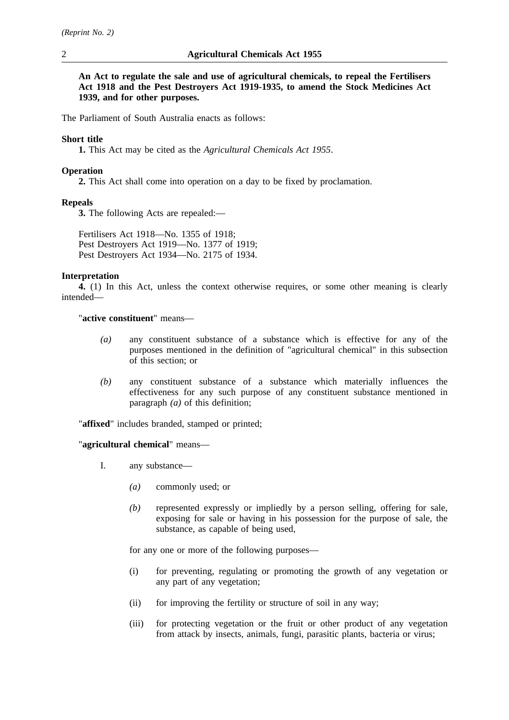**An Act to regulate the sale and use of agricultural chemicals, to repeal the Fertilisers Act 1918 and the Pest Destroyers Act 1919-1935, to amend the Stock Medicines Act 1939, and for other purposes.**

The Parliament of South Australia enacts as follows:

## **Short title**

**1.** This Act may be cited as the *Agricultural Chemicals Act 1955*.

#### **Operation**

**2.** This Act shall come into operation on a day to be fixed by proclamation.

#### **Repeals**

**3.** The following Acts are repealed:—

Fertilisers Act 1918—No. 1355 of 1918; Pest Destroyers Act 1919—No. 1377 of 1919; Pest Destroyers Act 1934—No. 2175 of 1934.

#### **Interpretation**

**4.** (1) In this Act, unless the context otherwise requires, or some other meaning is clearly intended—

# "**active constituent**" means—

- *(a)* any constituent substance of a substance which is effective for any of the purposes mentioned in the definition of "agricultural chemical" in this subsection of this section; or
- *(b)* any constituent substance of a substance which materially influences the effectiveness for any such purpose of any constituent substance mentioned in paragraph *(a)* of this definition;

"**affixed**" includes branded, stamped or printed;

# "**agricultural chemical**" means—

- I. any substance—
	- *(a)* commonly used; or
	- *(b)* represented expressly or impliedly by a person selling, offering for sale, exposing for sale or having in his possession for the purpose of sale, the substance, as capable of being used,

for any one or more of the following purposes—

- (i) for preventing, regulating or promoting the growth of any vegetation or any part of any vegetation;
- (ii) for improving the fertility or structure of soil in any way;
- (iii) for protecting vegetation or the fruit or other product of any vegetation from attack by insects, animals, fungi, parasitic plants, bacteria or virus;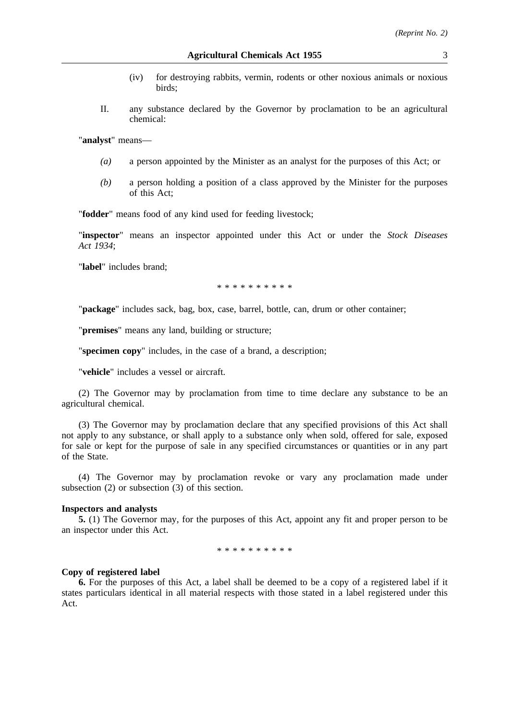- (iv) for destroying rabbits, vermin, rodents or other noxious animals or noxious birds;
- II. any substance declared by the Governor by proclamation to be an agricultural chemical:

"**analyst**" means—

- *(a)* a person appointed by the Minister as an analyst for the purposes of this Act; or
- *(b)* a person holding a position of a class approved by the Minister for the purposes of this Act;

"**fodder**" means food of any kind used for feeding livestock;

"**inspector**" means an inspector appointed under this Act or under the *Stock Diseases Act 1934*;

"**label**" includes brand;

\*\*\*\*\*\*\*\*\*\*

"**package**" includes sack, bag, box, case, barrel, bottle, can, drum or other container;

"**premises**" means any land, building or structure;

"**specimen copy**" includes, in the case of a brand, a description;

"**vehicle**" includes a vessel or aircraft.

(2) The Governor may by proclamation from time to time declare any substance to be an agricultural chemical.

(3) The Governor may by proclamation declare that any specified provisions of this Act shall not apply to any substance, or shall apply to a substance only when sold, offered for sale, exposed for sale or kept for the purpose of sale in any specified circumstances or quantities or in any part of the State.

(4) The Governor may by proclamation revoke or vary any proclamation made under subsection (2) or subsection (3) of this section.

#### **Inspectors and analysts**

**5.** (1) The Governor may, for the purposes of this Act, appoint any fit and proper person to be an inspector under this Act.

\*\*\*\*\*\*\*\*\*\*

#### **Copy of registered label**

**6.** For the purposes of this Act, a label shall be deemed to be a copy of a registered label if it states particulars identical in all material respects with those stated in a label registered under this Act.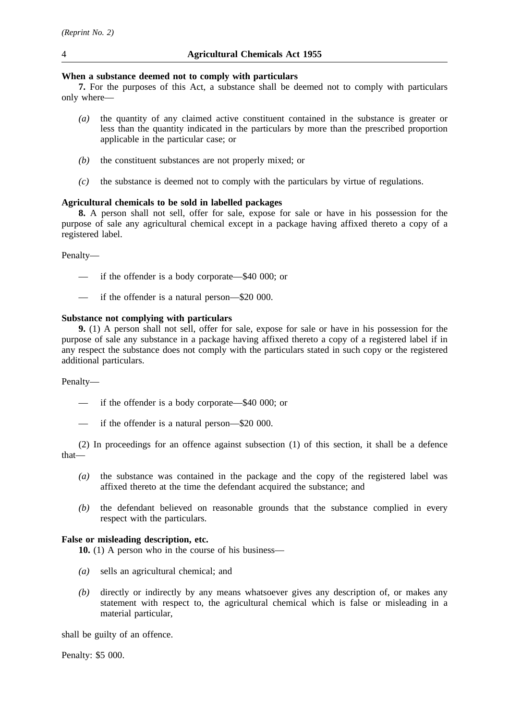# **When a substance deemed not to comply with particulars**

**7.** For the purposes of this Act, a substance shall be deemed not to comply with particulars only where—

- *(a)* the quantity of any claimed active constituent contained in the substance is greater or less than the quantity indicated in the particulars by more than the prescribed proportion applicable in the particular case; or
- *(b)* the constituent substances are not properly mixed; or
- *(c)* the substance is deemed not to comply with the particulars by virtue of regulations.

# **Agricultural chemicals to be sold in labelled packages**

**8.** A person shall not sell, offer for sale, expose for sale or have in his possession for the purpose of sale any agricultural chemical except in a package having affixed thereto a copy of a registered label.

## Penalty—

- if the offender is a body corporate—\$40 000; or
- if the offender is a natural person—\$20 000.

## **Substance not complying with particulars**

**9.** (1) A person shall not sell, offer for sale, expose for sale or have in his possession for the purpose of sale any substance in a package having affixed thereto a copy of a registered label if in any respect the substance does not comply with the particulars stated in such copy or the registered additional particulars.

## Penalty—

- if the offender is a body corporate—\$40 000; or
- if the offender is a natural person—\$20 000.

(2) In proceedings for an offence against subsection (1) of this section, it shall be a defence that—

- *(a)* the substance was contained in the package and the copy of the registered label was affixed thereto at the time the defendant acquired the substance; and
- *(b)* the defendant believed on reasonable grounds that the substance complied in every respect with the particulars.

# **False or misleading description, etc.**

**10.** (1) A person who in the course of his business—

- *(a)* sells an agricultural chemical; and
- *(b)* directly or indirectly by any means whatsoever gives any description of, or makes any statement with respect to, the agricultural chemical which is false or misleading in a material particular,

shall be guilty of an offence.

Penalty: \$5 000.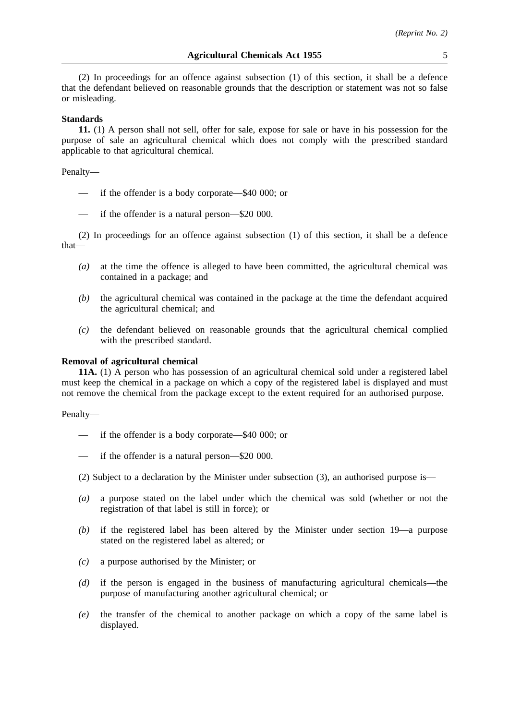(2) In proceedings for an offence against subsection (1) of this section, it shall be a defence that the defendant believed on reasonable grounds that the description or statement was not so false or misleading.

#### **Standards**

**11.** (1) A person shall not sell, offer for sale, expose for sale or have in his possession for the purpose of sale an agricultural chemical which does not comply with the prescribed standard applicable to that agricultural chemical.

#### Penalty—

- if the offender is a body corporate—\$40 000; or
- if the offender is a natural person—\$20 000.

(2) In proceedings for an offence against subsection (1) of this section, it shall be a defence that—

- *(a)* at the time the offence is alleged to have been committed, the agricultural chemical was contained in a package; and
- *(b)* the agricultural chemical was contained in the package at the time the defendant acquired the agricultural chemical; and
- *(c)* the defendant believed on reasonable grounds that the agricultural chemical complied with the prescribed standard.

#### **Removal of agricultural chemical**

**11A.** (1) A person who has possession of an agricultural chemical sold under a registered label must keep the chemical in a package on which a copy of the registered label is displayed and must not remove the chemical from the package except to the extent required for an authorised purpose.

#### Penalty—

- if the offender is a body corporate—\$40 000; or
- if the offender is a natural person—\$20 000.
- (2) Subject to a declaration by the Minister under subsection (3), an authorised purpose is—
- *(a)* a purpose stated on the label under which the chemical was sold (whether or not the registration of that label is still in force); or
- *(b)* if the registered label has been altered by the Minister under section 19—a purpose stated on the registered label as altered; or
- *(c)* a purpose authorised by the Minister; or
- *(d)* if the person is engaged in the business of manufacturing agricultural chemicals—the purpose of manufacturing another agricultural chemical; or
- *(e)* the transfer of the chemical to another package on which a copy of the same label is displayed.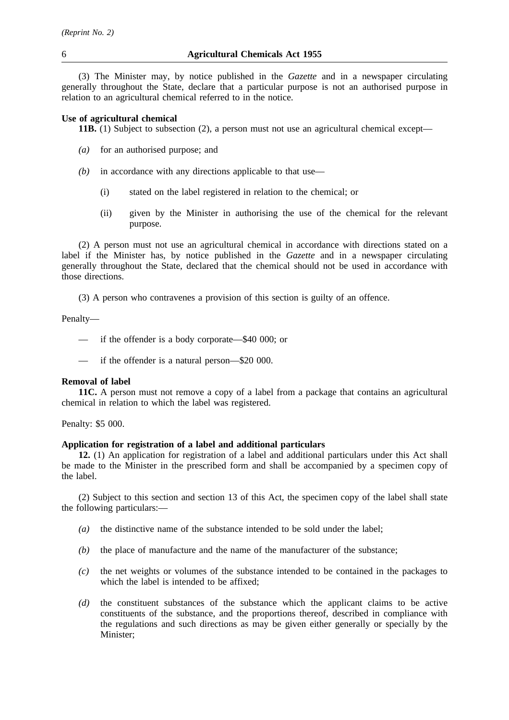(3) The Minister may, by notice published in the *Gazette* and in a newspaper circulating generally throughout the State, declare that a particular purpose is not an authorised purpose in relation to an agricultural chemical referred to in the notice.

#### **Use of agricultural chemical**

**11B.** (1) Subject to subsection (2), a person must not use an agricultural chemical except—

- *(a)* for an authorised purpose; and
- *(b)* in accordance with any directions applicable to that use—
	- (i) stated on the label registered in relation to the chemical; or
	- (ii) given by the Minister in authorising the use of the chemical for the relevant purpose.

(2) A person must not use an agricultural chemical in accordance with directions stated on a label if the Minister has, by notice published in the *Gazette* and in a newspaper circulating generally throughout the State, declared that the chemical should not be used in accordance with those directions.

(3) A person who contravenes a provision of this section is guilty of an offence.

Penalty—

— if the offender is a body corporate—\$40 000; or

— if the offender is a natural person—\$20 000.

#### **Removal of label**

**11C.** A person must not remove a copy of a label from a package that contains an agricultural chemical in relation to which the label was registered.

Penalty: \$5 000.

# **Application for registration of a label and additional particulars**

**12.** (1) An application for registration of a label and additional particulars under this Act shall be made to the Minister in the prescribed form and shall be accompanied by a specimen copy of the label.

(2) Subject to this section and section 13 of this Act, the specimen copy of the label shall state the following particulars:—

- *(a)* the distinctive name of the substance intended to be sold under the label;
- *(b)* the place of manufacture and the name of the manufacturer of the substance;
- *(c)* the net weights or volumes of the substance intended to be contained in the packages to which the label is intended to be affixed;
- *(d)* the constituent substances of the substance which the applicant claims to be active constituents of the substance, and the proportions thereof, described in compliance with the regulations and such directions as may be given either generally or specially by the Minister;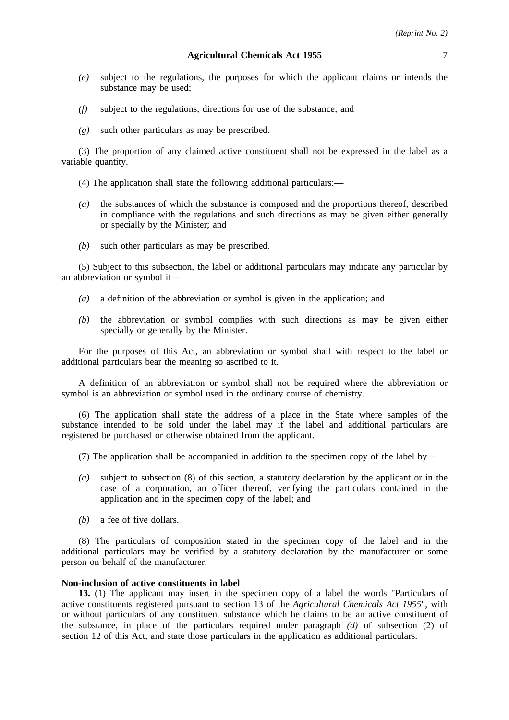- *(e)* subject to the regulations, the purposes for which the applicant claims or intends the substance may be used;
- *(f)* subject to the regulations, directions for use of the substance; and
- *(g)* such other particulars as may be prescribed.

(3) The proportion of any claimed active constituent shall not be expressed in the label as a variable quantity.

(4) The application shall state the following additional particulars:—

- *(a)* the substances of which the substance is composed and the proportions thereof, described in compliance with the regulations and such directions as may be given either generally or specially by the Minister; and
- *(b)* such other particulars as may be prescribed.

(5) Subject to this subsection, the label or additional particulars may indicate any particular by an abbreviation or symbol if—

- *(a)* a definition of the abbreviation or symbol is given in the application; and
- *(b)* the abbreviation or symbol complies with such directions as may be given either specially or generally by the Minister.

For the purposes of this Act, an abbreviation or symbol shall with respect to the label or additional particulars bear the meaning so ascribed to it.

A definition of an abbreviation or symbol shall not be required where the abbreviation or symbol is an abbreviation or symbol used in the ordinary course of chemistry.

(6) The application shall state the address of a place in the State where samples of the substance intended to be sold under the label may if the label and additional particulars are registered be purchased or otherwise obtained from the applicant.

(7) The application shall be accompanied in addition to the specimen copy of the label by—

- *(a)* subject to subsection (8) of this section, a statutory declaration by the applicant or in the case of a corporation, an officer thereof, verifying the particulars contained in the application and in the specimen copy of the label; and
- *(b)* a fee of five dollars.

(8) The particulars of composition stated in the specimen copy of the label and in the additional particulars may be verified by a statutory declaration by the manufacturer or some person on behalf of the manufacturer.

#### **Non-inclusion of active constituents in label**

**13.** (1) The applicant may insert in the specimen copy of a label the words "Particulars of active constituents registered pursuant to section 13 of the *Agricultural Chemicals Act 1955*", with or without particulars of any constituent substance which he claims to be an active constituent of the substance, in place of the particulars required under paragraph *(d)* of subsection (2) of section 12 of this Act, and state those particulars in the application as additional particulars.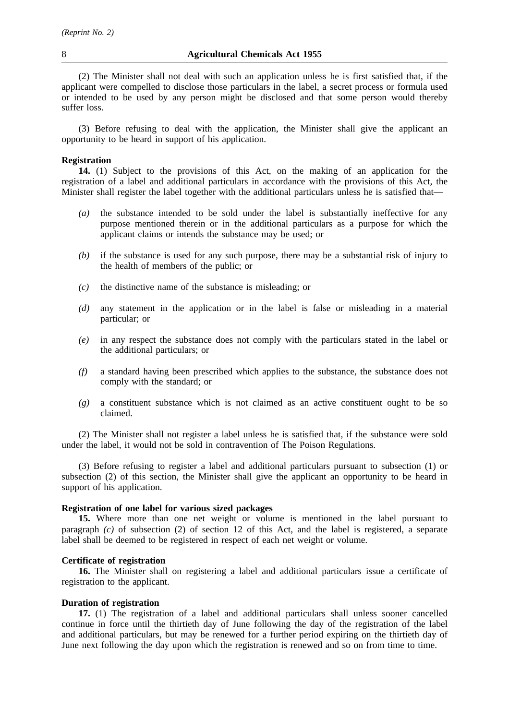(2) The Minister shall not deal with such an application unless he is first satisfied that, if the applicant were compelled to disclose those particulars in the label, a secret process or formula used or intended to be used by any person might be disclosed and that some person would thereby suffer loss.

(3) Before refusing to deal with the application, the Minister shall give the applicant an opportunity to be heard in support of his application.

#### **Registration**

**14.** (1) Subject to the provisions of this Act, on the making of an application for the registration of a label and additional particulars in accordance with the provisions of this Act, the Minister shall register the label together with the additional particulars unless he is satisfied that—

- *(a)* the substance intended to be sold under the label is substantially ineffective for any purpose mentioned therein or in the additional particulars as a purpose for which the applicant claims or intends the substance may be used; or
- *(b)* if the substance is used for any such purpose, there may be a substantial risk of injury to the health of members of the public; or
- *(c)* the distinctive name of the substance is misleading; or
- *(d)* any statement in the application or in the label is false or misleading in a material particular; or
- *(e)* in any respect the substance does not comply with the particulars stated in the label or the additional particulars; or
- *(f)* a standard having been prescribed which applies to the substance, the substance does not comply with the standard; or
- *(g)* a constituent substance which is not claimed as an active constituent ought to be so claimed.

(2) The Minister shall not register a label unless he is satisfied that, if the substance were sold under the label, it would not be sold in contravention of The Poison Regulations.

(3) Before refusing to register a label and additional particulars pursuant to subsection (1) or subsection (2) of this section, the Minister shall give the applicant an opportunity to be heard in support of his application.

#### **Registration of one label for various sized packages**

**15.** Where more than one net weight or volume is mentioned in the label pursuant to paragraph *(c)* of subsection (2) of section 12 of this Act, and the label is registered, a separate label shall be deemed to be registered in respect of each net weight or volume.

# **Certificate of registration**

**16.** The Minister shall on registering a label and additional particulars issue a certificate of registration to the applicant.

# **Duration of registration**

**17.** (1) The registration of a label and additional particulars shall unless sooner cancelled continue in force until the thirtieth day of June following the day of the registration of the label and additional particulars, but may be renewed for a further period expiring on the thirtieth day of June next following the day upon which the registration is renewed and so on from time to time.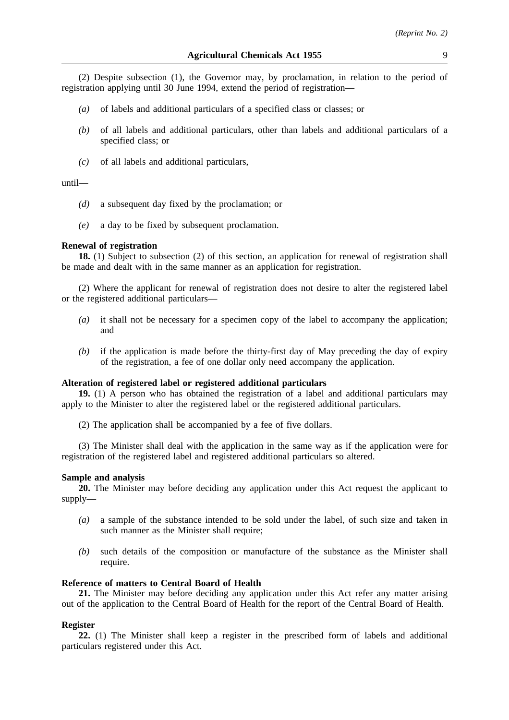(2) Despite subsection (1), the Governor may, by proclamation, in relation to the period of registration applying until 30 June 1994, extend the period of registration—

- *(a)* of labels and additional particulars of a specified class or classes; or
- *(b)* of all labels and additional particulars, other than labels and additional particulars of a specified class; or
- *(c)* of all labels and additional particulars,

# until—

- *(d)* a subsequent day fixed by the proclamation; or
- *(e)* a day to be fixed by subsequent proclamation.

#### **Renewal of registration**

**18.** (1) Subject to subsection (2) of this section, an application for renewal of registration shall be made and dealt with in the same manner as an application for registration.

(2) Where the applicant for renewal of registration does not desire to alter the registered label or the registered additional particulars—

- *(a)* it shall not be necessary for a specimen copy of the label to accompany the application; and
- *(b)* if the application is made before the thirty-first day of May preceding the day of expiry of the registration, a fee of one dollar only need accompany the application.

#### **Alteration of registered label or registered additional particulars**

**19.** (1) A person who has obtained the registration of a label and additional particulars may apply to the Minister to alter the registered label or the registered additional particulars.

(2) The application shall be accompanied by a fee of five dollars.

(3) The Minister shall deal with the application in the same way as if the application were for registration of the registered label and registered additional particulars so altered.

## **Sample and analysis**

**20.** The Minister may before deciding any application under this Act request the applicant to supply—

- *(a)* a sample of the substance intended to be sold under the label, of such size and taken in such manner as the Minister shall require;
- *(b)* such details of the composition or manufacture of the substance as the Minister shall require.

#### **Reference of matters to Central Board of Health**

**21.** The Minister may before deciding any application under this Act refer any matter arising out of the application to the Central Board of Health for the report of the Central Board of Health.

#### **Register**

**22.** (1) The Minister shall keep a register in the prescribed form of labels and additional particulars registered under this Act.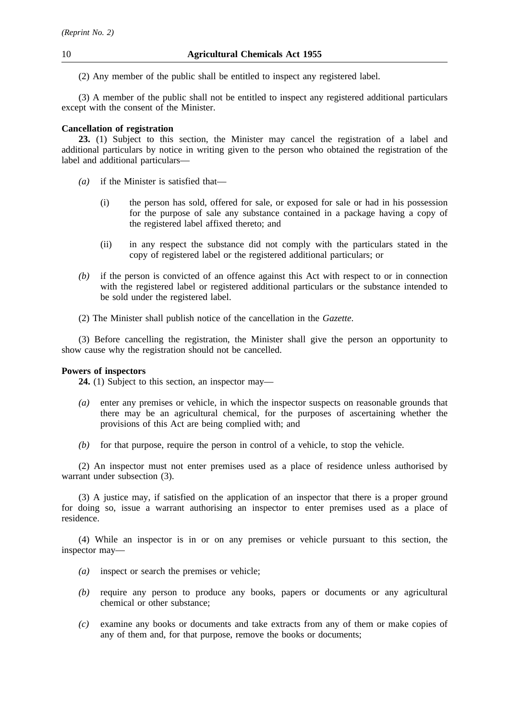(2) Any member of the public shall be entitled to inspect any registered label.

(3) A member of the public shall not be entitled to inspect any registered additional particulars except with the consent of the Minister.

# **Cancellation of registration**

**23.** (1) Subject to this section, the Minister may cancel the registration of a label and additional particulars by notice in writing given to the person who obtained the registration of the label and additional particulars—

- *(a)* if the Minister is satisfied that—
	- (i) the person has sold, offered for sale, or exposed for sale or had in his possession for the purpose of sale any substance contained in a package having a copy of the registered label affixed thereto; and
	- (ii) in any respect the substance did not comply with the particulars stated in the copy of registered label or the registered additional particulars; or
- *(b)* if the person is convicted of an offence against this Act with respect to or in connection with the registered label or registered additional particulars or the substance intended to be sold under the registered label.
- (2) The Minister shall publish notice of the cancellation in the *Gazette*.

(3) Before cancelling the registration, the Minister shall give the person an opportunity to show cause why the registration should not be cancelled.

# **Powers of inspectors**

**24.** (1) Subject to this section, an inspector may—

- *(a)* enter any premises or vehicle, in which the inspector suspects on reasonable grounds that there may be an agricultural chemical, for the purposes of ascertaining whether the provisions of this Act are being complied with; and
- *(b)* for that purpose, require the person in control of a vehicle, to stop the vehicle.

(2) An inspector must not enter premises used as a place of residence unless authorised by warrant under subsection  $(3)$ .

(3) A justice may, if satisfied on the application of an inspector that there is a proper ground for doing so, issue a warrant authorising an inspector to enter premises used as a place of residence.

(4) While an inspector is in or on any premises or vehicle pursuant to this section, the inspector may—

- *(a)* inspect or search the premises or vehicle;
- *(b)* require any person to produce any books, papers or documents or any agricultural chemical or other substance;
- *(c)* examine any books or documents and take extracts from any of them or make copies of any of them and, for that purpose, remove the books or documents;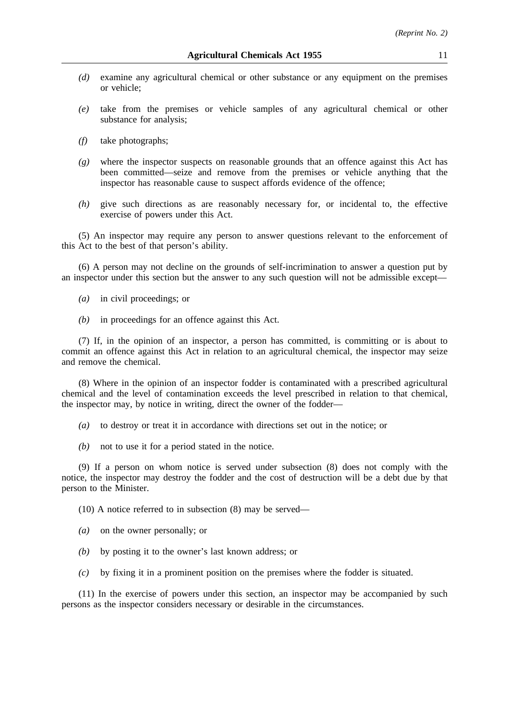- *(d)* examine any agricultural chemical or other substance or any equipment on the premises or vehicle;
- *(e)* take from the premises or vehicle samples of any agricultural chemical or other substance for analysis;
- *(f)* take photographs;
- *(g)* where the inspector suspects on reasonable grounds that an offence against this Act has been committed—seize and remove from the premises or vehicle anything that the inspector has reasonable cause to suspect affords evidence of the offence;
- *(h)* give such directions as are reasonably necessary for, or incidental to, the effective exercise of powers under this Act.

(5) An inspector may require any person to answer questions relevant to the enforcement of this Act to the best of that person's ability.

(6) A person may not decline on the grounds of self-incrimination to answer a question put by an inspector under this section but the answer to any such question will not be admissible except—

- *(a)* in civil proceedings; or
- *(b)* in proceedings for an offence against this Act.

(7) If, in the opinion of an inspector, a person has committed, is committing or is about to commit an offence against this Act in relation to an agricultural chemical, the inspector may seize and remove the chemical.

(8) Where in the opinion of an inspector fodder is contaminated with a prescribed agricultural chemical and the level of contamination exceeds the level prescribed in relation to that chemical, the inspector may, by notice in writing, direct the owner of the fodder—

- *(a)* to destroy or treat it in accordance with directions set out in the notice; or
- *(b)* not to use it for a period stated in the notice.

(9) If a person on whom notice is served under subsection (8) does not comply with the notice, the inspector may destroy the fodder and the cost of destruction will be a debt due by that person to the Minister.

(10) A notice referred to in subsection (8) may be served—

- *(a)* on the owner personally; or
- *(b)* by posting it to the owner's last known address; or
- *(c)* by fixing it in a prominent position on the premises where the fodder is situated.

(11) In the exercise of powers under this section, an inspector may be accompanied by such persons as the inspector considers necessary or desirable in the circumstances.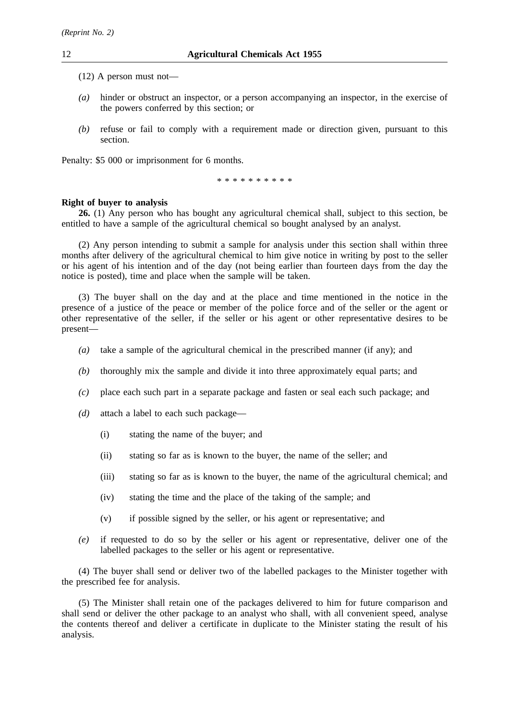- (12) A person must not—
- *(a)* hinder or obstruct an inspector, or a person accompanying an inspector, in the exercise of the powers conferred by this section; or
- *(b)* refuse or fail to comply with a requirement made or direction given, pursuant to this section.

Penalty: \$5 000 or imprisonment for 6 months.

\*\*\*\*\*\*\*\*\*\*

# **Right of buyer to analysis**

**26.** (1) Any person who has bought any agricultural chemical shall, subject to this section, be entitled to have a sample of the agricultural chemical so bought analysed by an analyst.

(2) Any person intending to submit a sample for analysis under this section shall within three months after delivery of the agricultural chemical to him give notice in writing by post to the seller or his agent of his intention and of the day (not being earlier than fourteen days from the day the notice is posted), time and place when the sample will be taken.

(3) The buyer shall on the day and at the place and time mentioned in the notice in the presence of a justice of the peace or member of the police force and of the seller or the agent or other representative of the seller, if the seller or his agent or other representative desires to be present—

- *(a)* take a sample of the agricultural chemical in the prescribed manner (if any); and
- *(b)* thoroughly mix the sample and divide it into three approximately equal parts; and
- *(c)* place each such part in a separate package and fasten or seal each such package; and
- *(d)* attach a label to each such package—
	- (i) stating the name of the buyer; and
	- (ii) stating so far as is known to the buyer, the name of the seller; and
	- (iii) stating so far as is known to the buyer, the name of the agricultural chemical; and
	- (iv) stating the time and the place of the taking of the sample; and
	- (v) if possible signed by the seller, or his agent or representative; and
- *(e)* if requested to do so by the seller or his agent or representative, deliver one of the labelled packages to the seller or his agent or representative.

(4) The buyer shall send or deliver two of the labelled packages to the Minister together with the prescribed fee for analysis.

(5) The Minister shall retain one of the packages delivered to him for future comparison and shall send or deliver the other package to an analyst who shall, with all convenient speed, analyse the contents thereof and deliver a certificate in duplicate to the Minister stating the result of his analysis.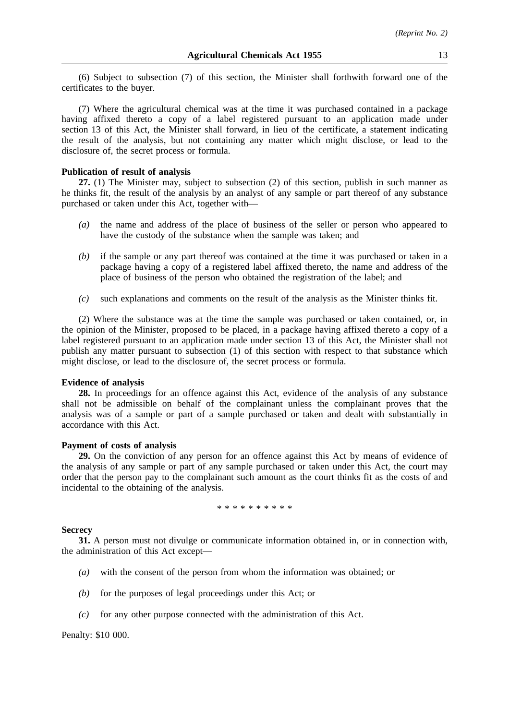(6) Subject to subsection (7) of this section, the Minister shall forthwith forward one of the certificates to the buyer.

(7) Where the agricultural chemical was at the time it was purchased contained in a package having affixed thereto a copy of a label registered pursuant to an application made under section 13 of this Act, the Minister shall forward, in lieu of the certificate, a statement indicating the result of the analysis, but not containing any matter which might disclose, or lead to the disclosure of, the secret process or formula.

#### **Publication of result of analysis**

**27.** (1) The Minister may, subject to subsection (2) of this section, publish in such manner as he thinks fit, the result of the analysis by an analyst of any sample or part thereof of any substance purchased or taken under this Act, together with—

- *(a)* the name and address of the place of business of the seller or person who appeared to have the custody of the substance when the sample was taken; and
- *(b)* if the sample or any part thereof was contained at the time it was purchased or taken in a package having a copy of a registered label affixed thereto, the name and address of the place of business of the person who obtained the registration of the label; and
- *(c)* such explanations and comments on the result of the analysis as the Minister thinks fit.

(2) Where the substance was at the time the sample was purchased or taken contained, or, in the opinion of the Minister, proposed to be placed, in a package having affixed thereto a copy of a label registered pursuant to an application made under section 13 of this Act, the Minister shall not publish any matter pursuant to subsection (1) of this section with respect to that substance which might disclose, or lead to the disclosure of, the secret process or formula.

#### **Evidence of analysis**

**28.** In proceedings for an offence against this Act, evidence of the analysis of any substance shall not be admissible on behalf of the complainant unless the complainant proves that the analysis was of a sample or part of a sample purchased or taken and dealt with substantially in accordance with this Act.

#### **Payment of costs of analysis**

**29.** On the conviction of any person for an offence against this Act by means of evidence of the analysis of any sample or part of any sample purchased or taken under this Act, the court may order that the person pay to the complainant such amount as the court thinks fit as the costs of and incidental to the obtaining of the analysis.

\*\*\*\*\*\*\*\*\*\*\*\*\*

#### **Secrecy**

**31.** A person must not divulge or communicate information obtained in, or in connection with, the administration of this Act except—

- *(a)* with the consent of the person from whom the information was obtained; or
- *(b)* for the purposes of legal proceedings under this Act; or
- *(c)* for any other purpose connected with the administration of this Act.

Penalty: \$10 000.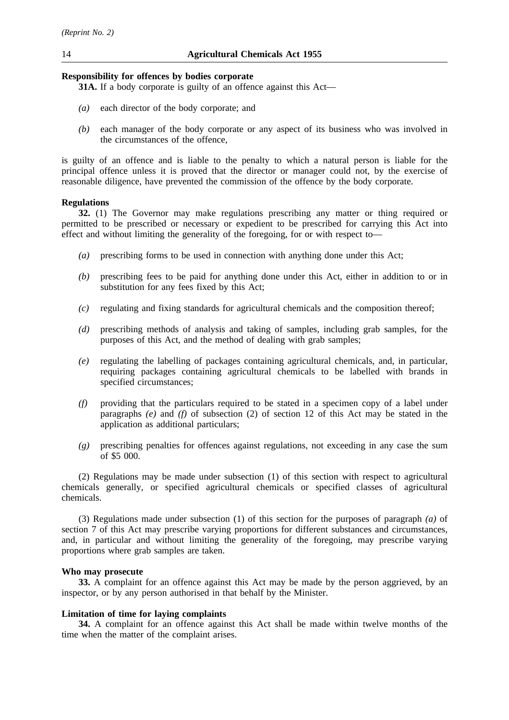# **Responsibility for offences by bodies corporate**

**31A.** If a body corporate is guilty of an offence against this Act—

- *(a)* each director of the body corporate; and
- *(b)* each manager of the body corporate or any aspect of its business who was involved in the circumstances of the offence,

is guilty of an offence and is liable to the penalty to which a natural person is liable for the principal offence unless it is proved that the director or manager could not, by the exercise of reasonable diligence, have prevented the commission of the offence by the body corporate.

# **Regulations**

**32.** (1) The Governor may make regulations prescribing any matter or thing required or permitted to be prescribed or necessary or expedient to be prescribed for carrying this Act into effect and without limiting the generality of the foregoing, for or with respect to—

- *(a)* prescribing forms to be used in connection with anything done under this Act;
- *(b)* prescribing fees to be paid for anything done under this Act, either in addition to or in substitution for any fees fixed by this Act:
- *(c)* regulating and fixing standards for agricultural chemicals and the composition thereof;
- *(d)* prescribing methods of analysis and taking of samples, including grab samples, for the purposes of this Act, and the method of dealing with grab samples;
- *(e)* regulating the labelling of packages containing agricultural chemicals, and, in particular, requiring packages containing agricultural chemicals to be labelled with brands in specified circumstances;
- *(f)* providing that the particulars required to be stated in a specimen copy of a label under paragraphs *(e)* and *(f)* of subsection (2) of section 12 of this Act may be stated in the application as additional particulars;
- *(g)* prescribing penalties for offences against regulations, not exceeding in any case the sum of \$5 000.

(2) Regulations may be made under subsection (1) of this section with respect to agricultural chemicals generally, or specified agricultural chemicals or specified classes of agricultural chemicals.

(3) Regulations made under subsection (1) of this section for the purposes of paragraph *(a)* of section 7 of this Act may prescribe varying proportions for different substances and circumstances, and, in particular and without limiting the generality of the foregoing, may prescribe varying proportions where grab samples are taken.

# **Who may prosecute**

**33.** A complaint for an offence against this Act may be made by the person aggrieved, by an inspector, or by any person authorised in that behalf by the Minister.

# **Limitation of time for laying complaints**

**34.** A complaint for an offence against this Act shall be made within twelve months of the time when the matter of the complaint arises.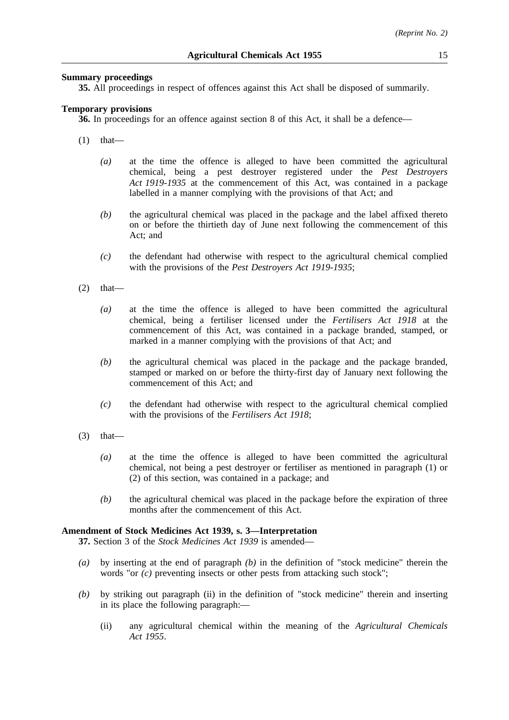# **Summary proceedings**

**35.** All proceedings in respect of offences against this Act shall be disposed of summarily.

# **Temporary provisions**

**36.** In proceedings for an offence against section 8 of this Act, it shall be a defence—

- (1) that—
	- *(a)* at the time the offence is alleged to have been committed the agricultural chemical, being a pest destroyer registered under the *Pest Destroyers Act 1919-1935* at the commencement of this Act, was contained in a package labelled in a manner complying with the provisions of that Act; and
	- *(b)* the agricultural chemical was placed in the package and the label affixed thereto on or before the thirtieth day of June next following the commencement of this Act; and
	- *(c)* the defendant had otherwise with respect to the agricultural chemical complied with the provisions of the *Pest Destroyers Act 1919-1935*;
- $(2)$  that—
	- *(a)* at the time the offence is alleged to have been committed the agricultural chemical, being a fertiliser licensed under the *Fertilisers Act 1918* at the commencement of this Act, was contained in a package branded, stamped, or marked in a manner complying with the provisions of that Act; and
	- *(b)* the agricultural chemical was placed in the package and the package branded, stamped or marked on or before the thirty-first day of January next following the commencement of this Act; and
	- *(c)* the defendant had otherwise with respect to the agricultural chemical complied with the provisions of the *Fertilisers Act 1918*;
- $(3)$  that—
	- *(a)* at the time the offence is alleged to have been committed the agricultural chemical, not being a pest destroyer or fertiliser as mentioned in paragraph (1) or (2) of this section, was contained in a package; and
	- *(b)* the agricultural chemical was placed in the package before the expiration of three months after the commencement of this Act.

# **Amendment of Stock Medicines Act 1939, s. 3—Interpretation**

**37.** Section 3 of the *Stock Medicines Act 1939* is amended—

- *(a)* by inserting at the end of paragraph *(b)* in the definition of "stock medicine" therein the words "or *(c)* preventing insects or other pests from attacking such stock";
- *(b)* by striking out paragraph (ii) in the definition of "stock medicine" therein and inserting in its place the following paragraph:—
	- (ii) any agricultural chemical within the meaning of the *Agricultural Chemicals Act 1955*.